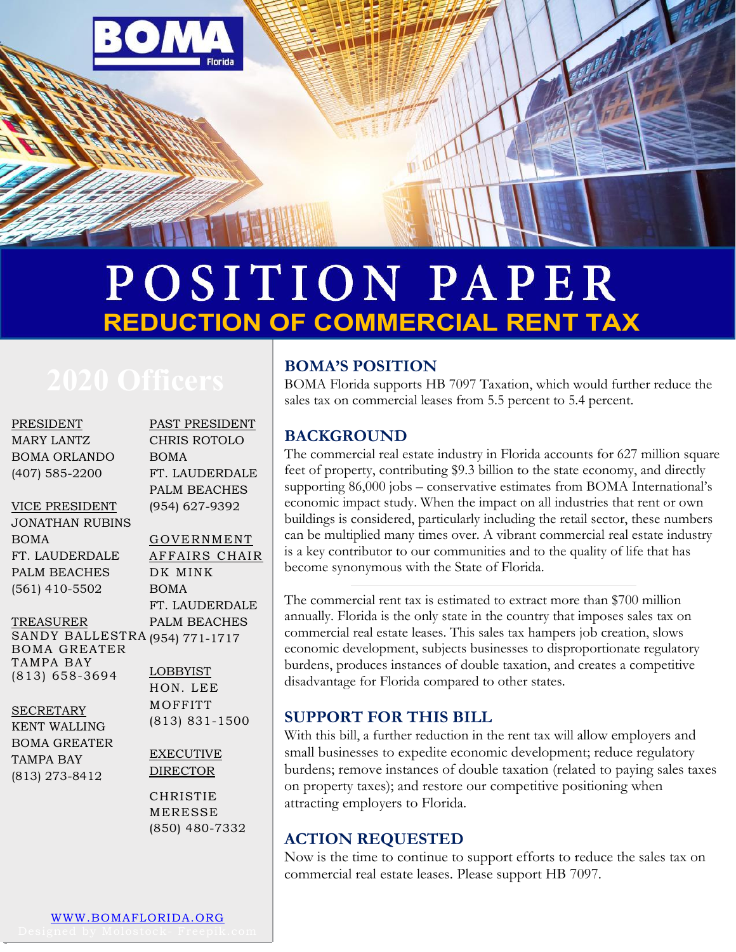

## POSITION PAPER **REDUCTION OF COMMERCIAL RENT TAX**

PRESIDENT MARY LANTZ BOMA ORLANDO (407) 585-2200

#### VICE PRESIDENT

JONATHAN RUBINS BOMA FT. LAUDERDALE PALM BEACHES (561) 410-5502

FT. LAUDERDALE PALM BEACHES (954) 627-9392 GOVERNMENT AFFAIRS CHAIR DK MINK

PAST PRESIDENT CHRIS ROTOLO

BOMA

BOMA FT. LAUDERDALE PALM BEACHES

TREASURER SANDY BALLESTRA (954) 771-1717 BOMA GREATER TAMPA BAY

(813) 658-3694

**SECRETARY** 

KENT WALLING BOMA GREATER TAMPA BAY (813) 273-8412

LOBBYIST HON. LEE **MOFFITT** (813) 831-1500

#### EXECUTIVE DIRECTOR

CHRISTIE MERESSE (850) 480-7332

#### **BOMA'S POSITION**

BOMA Florida supports HB 7097 Taxation, which would further reduce the sales tax on commercial leases from 5.5 percent to 5.4 percent.

#### **BACKGROUND**

The commercial real estate industry in Florida accounts for 627 million square feet of property, contributing \$9.3 billion to the state economy, and directly supporting 86,000 jobs – conservative estimates from BOMA International's economic impact study. When the impact on all industries that rent or own buildings is considered, particularly including the retail sector, these numbers can be multiplied many times over. A vibrant commercial real estate industry is a key contributor to our communities and to the quality of life that has become synonymous with the State of Florida.

The commercial rent tax is estimated to extract more than \$700 million annually. Florida is the only state in the country that imposes sales tax on commercial real estate leases. This sales tax hampers job creation, slows economic development, subjects businesses to disproportionate regulatory burdens, produces instances of double taxation, and creates a competitive disadvantage for Florida compared to other states.

#### **SUPPORT FOR THIS BILL**

With this bill, a further reduction in the rent tax will allow employers and small businesses to expedite economic development; reduce regulatory burdens; remove instances of double taxation (related to paying sales taxes on property taxes); and restore our competitive positioning when attracting employers to Florida.

### **ACTION REQUESTED**

Now is the time to continue to support efforts to reduce the sales tax on commercial real estate leases. Please support HB 7097.